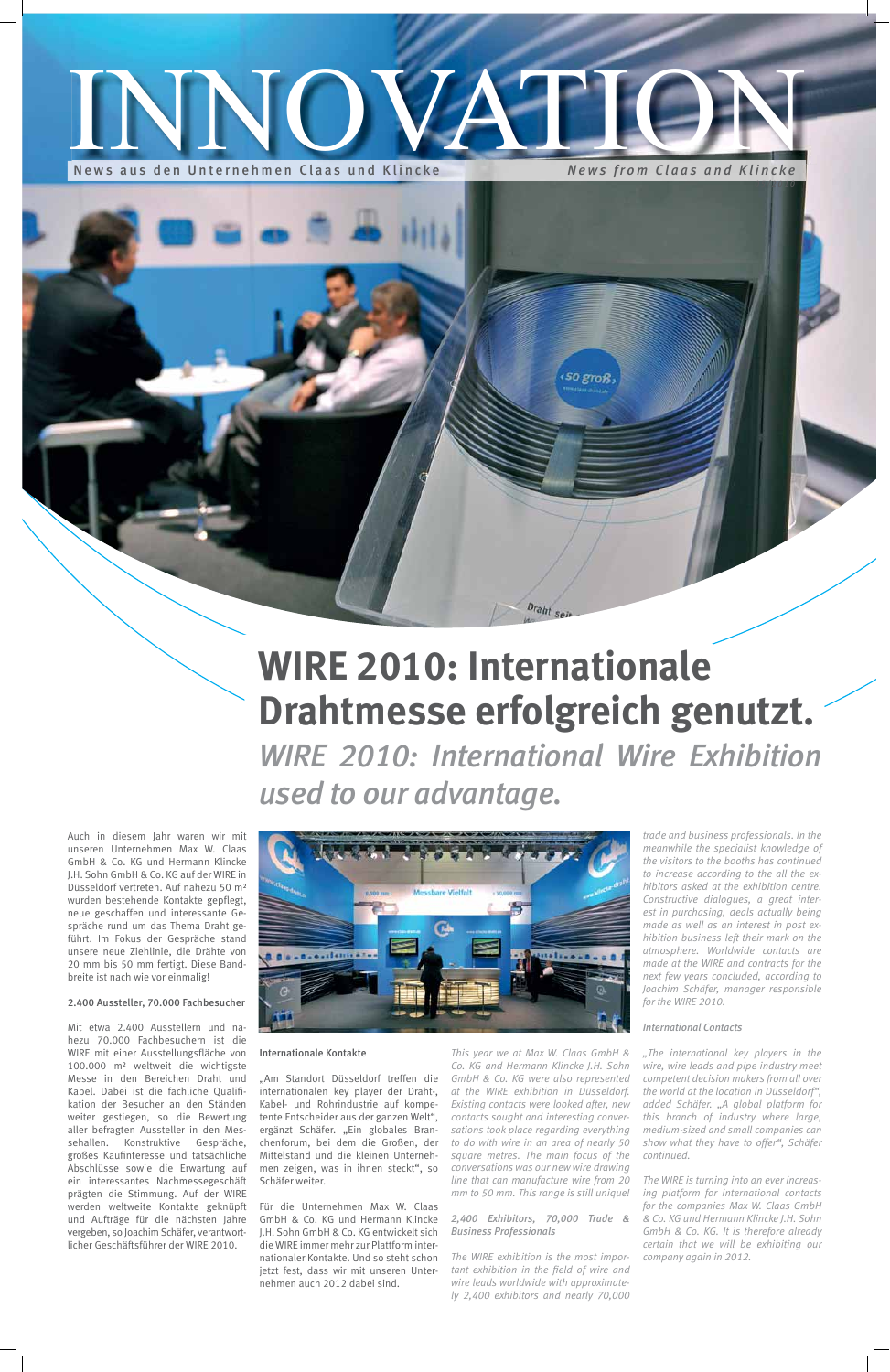*This year we at Max W. Claas GmbH & Co. KG and Hermann Klincke J.H. Sohn GmbH & Co. KG were also represented at the WIRE exhibition in Düsseldorf. Existing contacts were looked after, new contacts sought and interesting conversations took place regarding everything to do with wire in an area of nearly 50 square metres. The main focus of the conversations was our new wire drawing line that can manufacture wire from 20 mm to 50 mm. This range is still unique!*

#### *2,400 Exhibitors, 70,000 Trade & Business Professionals*

*The WIRE exhibition is the most impor* tant exhibition in the field of wire and *wire leads worldwide with approximately 2,400 exhibitors and nearly 70,000* 

*trade and business professionals. In the meanwhile the specialist knowledge of the visitors to the booths has continued to increase according to the all the exhibitors asked at the exhibition centre. Constructive dialogues, a great interest in purchasing, deals actually being made as well as an interest in post exhibition business left their mark on the atmosphere. Worldwide contacts are made at the WIRE and contracts for the next few years concluded, according to Joachim Schäfer, manager responsible for the WIRE 2010.* 

Auch in diesem Jahr waren wir mit unseren Unternehmen Max W. Claas GmbH & Co. KG und Hermann Klincke J.H. Sohn GmbH & Co. KG auf der WIRE in Düsseldorf vertreten. Auf nahezu 50 m² wurden bestehende Kontakte gepflegt, neue geschaffen und interessante Gespräche rund um das Thema Draht geführt. Im Fokus der Gespräche stand unsere neue Ziehlinie, die Drähte von



#### *International Contacts*

*"The international key players in the wire, wire leads and pipe industry meet competent decision makers from all over the world at the location in Düsseldorf", added Schäfer. "A global platform for this branch of industry where large, medium-sized and small companies can show what they have to offer", Schäfer continued.* 

*The WIRE is turning into an ever increasing platform for international contacts for the companies Max W. Claas GmbH & Co. KG und Hermann Klincke J.H. Sohn GmbH & Co. KG. It is therefore already certain that we will be exhibiting our company again in 2012.* 

"Am Standort Düsseldorf treffen die internationalen key player der Draht-, Kabel- und Rohrindustrie auf kompe tente Entscheider aus der ganzen Welt", ergänzt Schäfer. "Ein globales Branchenforum, bei dem die Großen, der Mittelstand und die kleinen Unterneh men zeigen, was in ihnen steckt", so Schäfer weiter.

# INNOVATION

News aus den Unternehmen Claas und Klincke *News from Claas and Klincke*

*05/2010*

20 mm bis 50 mm fertigt. Diese Bandbreite ist nach wie vor einmalig!

#### 2.400 Aussteller, 70.000 Fachbesucher

Mit etwa 2.400 Ausstellern und nahezu 70.000 Fachbesuchern ist die WIRE mit einer Ausstellungsfläche von 100.000 m² weltweit die wichtigste Messe in den Bereichen Draht und Kabel. Dabei ist die fachliche Qualifikation der Besucher an den Ständen weiter gestiegen, so die Bewertung aller befragten Aussteller in den Mes sehallen. Konstruktive Gespräche, großes Kaufinteresse und tatsächliche Abschlüsse sowie die Erwartung auf ein interessantes Nachmessegeschäft prägten die Stimmung. Auf der WIRE werden weltweite Kontakte geknüpft und Aufträge für die nächsten Jahre vergeben, so Joachim Schäfer, verantwortlicher Geschäftsführer der WIRE 2010.

#### Internationale Kontakte

Für die Unternehmen Max W. Claas GmbH & Co. KG und Hermann Klincke J.H. Sohn GmbH & Co. KG entwickelt sich die WIRE immer mehr zur Plattform internationaler Kontakte. Und so steht schon jetzt fest, dass wir mit unseren Unternehmen auch 2012 dabei sind.

## **WIRE 2010: Internationale Drahtmesse erfolgreich genutzt.**

Draht sei

so groß

WIRE 2010: International Wire Exhibition *used to our advantage.*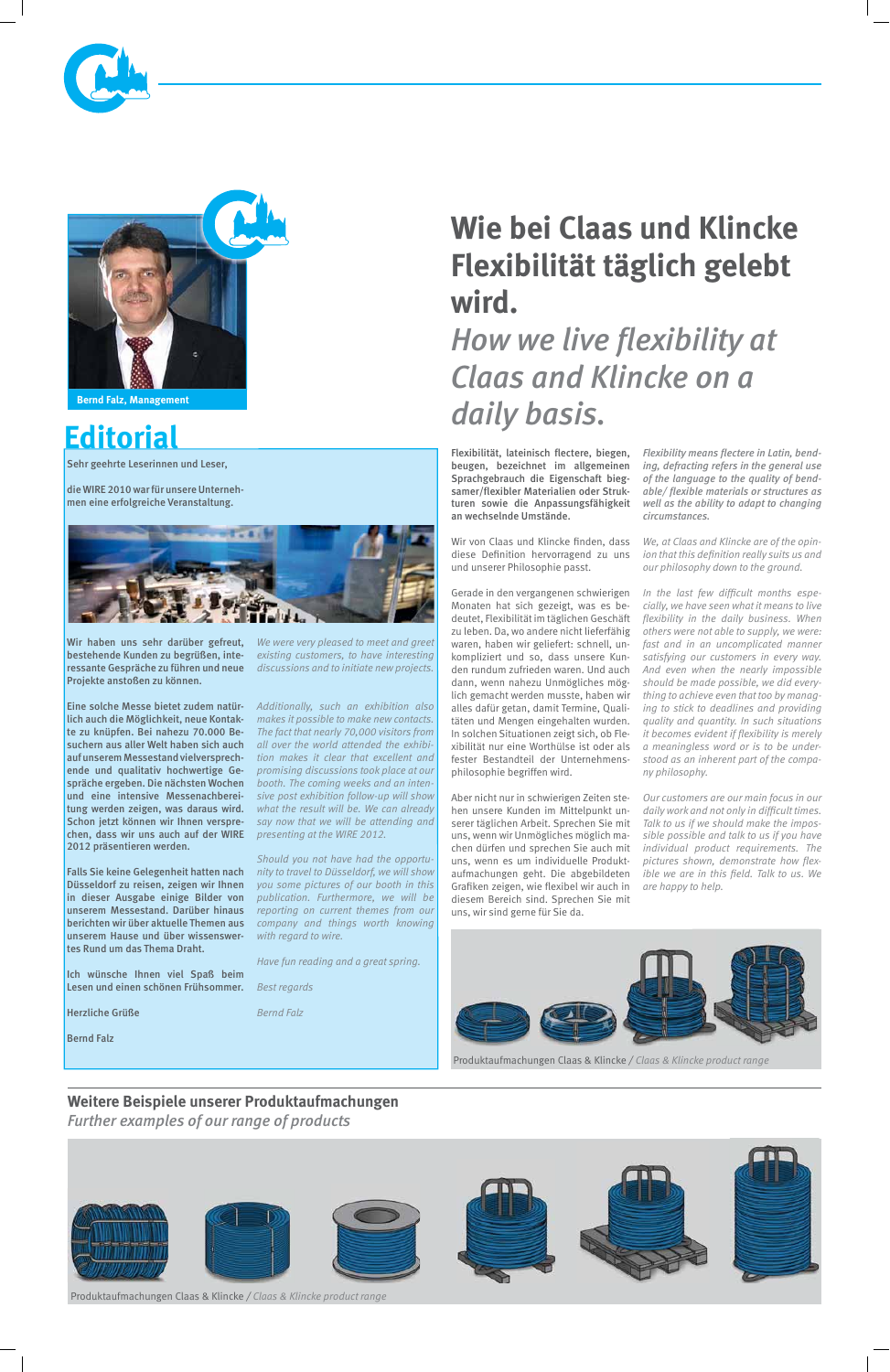### **Editorial**

Sehr geehrte Leserinnen und Leser,

die WIRE 2010 war für unsere Unternehmen eine erfolgreiche Veranstaltung.



Wir haben uns sehr darüber gefreut, *We were very pleased to meet and greet*  bestehende Kunden zu begrüßen, interessante Gespräche zu führen und neue Projekte anstoßen zu können.

lich auch die Möglichkeit, neue Kontakte zu knüpfen. Bei nahezu 70.000 Besuchern aus aller Welt haben sich auch auf unserem Messestand vielversprechende und qualitativ hochwertige Gespräche ergeben. Die nächsten Wochen und eine intensive Messenachbereitung werden zeigen, was daraus wird. Schon jetzt können wir Ihnen versprechen, dass wir uns auch auf der WIRE 2012 präsentieren werden.

Falls Sie keine Gelegenheit hatten nach Düsseldorf zu reisen, zeigen wir Ihnen in dieser Ausgabe einige Bilder von unserem Messestand. Darüber hinaus unserem Hause und über wissenswer-*with regard to wire.*  tes Rund um das Thema Draht.

Eine solche Messe bietet zudem natür-*Additionally, such an exhibition also makes it possible to make new contacts. The fact that nearly 70,000 visitors from all over the world attended the exhibition makes it clear that excellent and promising discussions took place at our booth. The coming weeks and an intensive post exhibition follow-up will show what the result will be. We can already say now that we will be attending and presenting at the WIRE 2012.*

Flexibilität, lateinisch flectere, biegen, beugen, bezeichnet im allgemeinen Sprachgebrauch die Eigenschaft bieg samer/flexibler Materialien oder Strukturen sowie die Anpassungsfähigkeit an wechselnde Umstände.

*existing customers, to have interesting discussions and to initiate new projects.* 

Wir von Claas und Klincke finden, dass diese Definition hervorragend zu uns und unserer Philosophie passt.

berichten wir über aktuelle Themen aus *company and things worth knowing Should you not have had the opportunity to travel to Düsseldorf, we will show you some pictures of our booth in this publication. Furthermore, we will be reporting on current themes from our* 

Aber nicht nur in schwierigen Zeiten stehen unsere Kunden im Mittelpunkt unserer täglichen Arbeit. Sprechen Sie mit uns, wenn wir Unmögliches möglich machen dürfen und sprechen Sie auch mit uns, wenn es um individuelle Produktaufmachungen geht. Die abgebildeten Grafiken zeigen, wie flexibel wir auch in diesem Bereich sind. Sprechen Sie mit uns, wir sind gerne für Sie da.

### **Weitere Beispiele unserer Produktaufmachungen**

*Further examples of our range of products*







**Bernd Falz, Management**

In the last few difficult months espe*cially, we have seen what it means to live*  flexibility in the daily business. When *others were not able to supply, we were: fast and in an uncomplicated manner satisfying our customers in every way. And even when the nearly impossible should be made possible, we did everything to achieve even that too by managing to stick to deadlines and providing quality and quantity. In such situations it becomes evident if flexibility is merely a meaningless word or is to be understood as an inherent part of the company philosophy.* 

### *How we live flexibility at Claas and Klincke on a daily basis.*

Gerade in den vergangenen schwierigen Monaten hat sich gezeigt, was es bedeutet, Flexibilität im täglichen Geschäft zu leben. Da, wo andere nicht lieferfähig waren, haben wir geliefert: schnell, unkompliziert und so, dass unsere Kunden rundum zufrieden waren. Und auch dann, wenn nahezu Unmögliches möglich gemacht werden musste, haben wir alles dafür getan, damit Termine, Qualitäten und Mengen eingehalten wurden. In solchen Situationen zeigt sich, ob Flexibilität nur eine Worthülse ist oder als fester Bestandteil der Unternehmensphilosophie begriffen wird.

|  | wünsche Ihnen viel Spaß beim<br>lch  <br>Lesen und einen schönen Frühsommer. | Have fun reading and a great spring. |                                                                     |  |
|--|------------------------------------------------------------------------------|--------------------------------------|---------------------------------------------------------------------|--|
|  |                                                                              | Best regards                         |                                                                     |  |
|  | <b>Herzliche Grüße</b>                                                       | <b>Bernd Falz</b>                    |                                                                     |  |
|  | <b>Bernd Falz</b>                                                            |                                      |                                                                     |  |
|  |                                                                              |                                      | Produktaufmachungen Claas & Klincke / Claas & Klincke product range |  |

 *ing, defracting refers in the general use*  of the language to the quality of bendable/ flexible materials or structures as *well as the ability to adapt to changing circumstances.* 

*We, at Claas and Klincke are of the opin ion that this definition really suits us and our philosophy down to the ground.* 

*Our customers are our main focus in our*  daily work and not only in difficult times. *Talk to us if we should make the impossible possible and talk to us if you have individual product requirements. The*  pictures shown, demonstrate how flex*ible we are in this field. Talk to us. We are happy to help.* 



### **Wie bei Claas und Klincke Flexibilität täglich gelebt wird.**

Produktaufmachungen Claas & Klincke */ Claas & Klincke product range*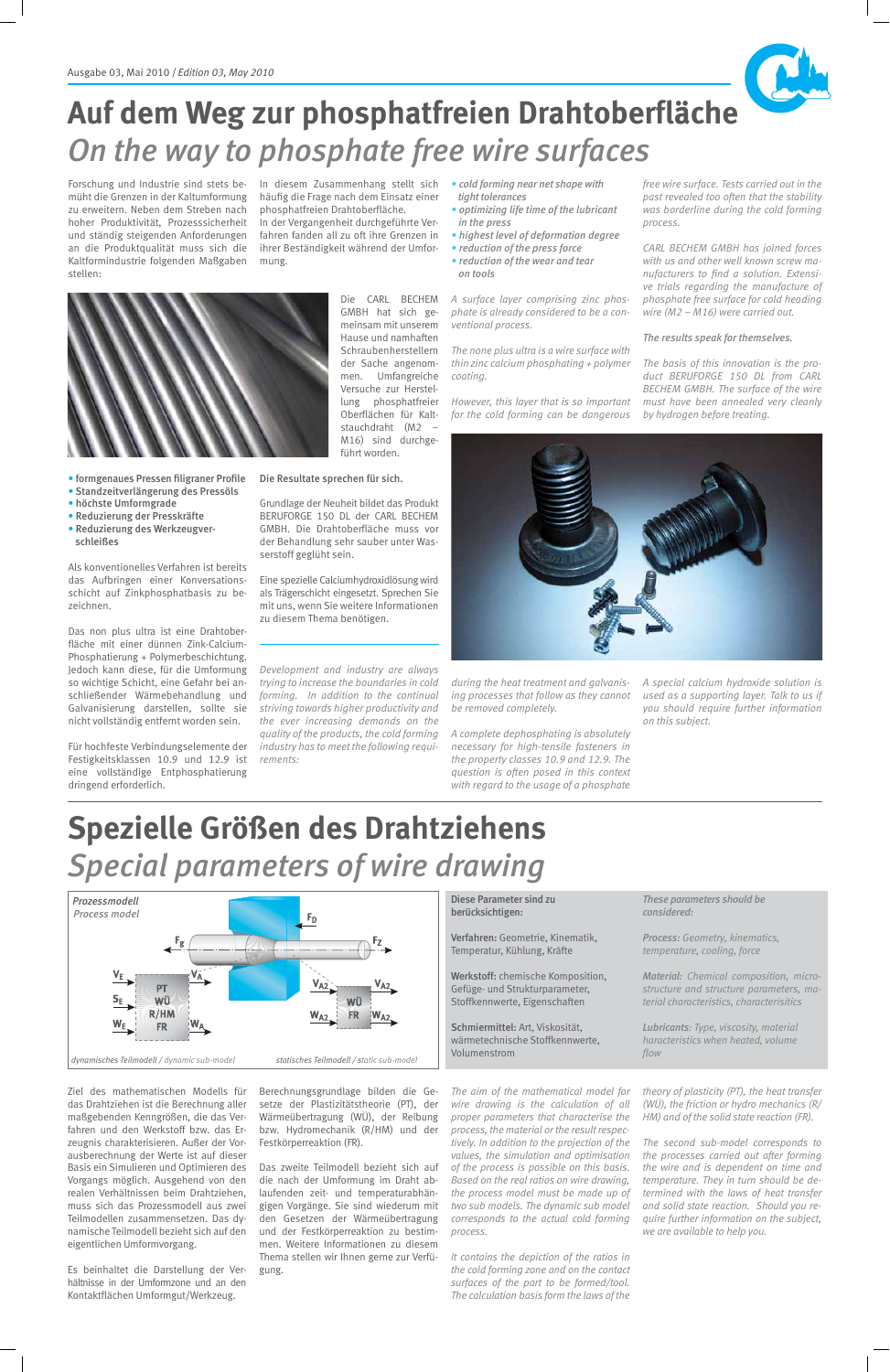Ziel des mathematischen Modells für das Drahtziehen ist die Berechnung aller maßgebenden Kenngrößen, die das Verfahren und den Werkstoff bzw. das Erzeugnis charakterisieren. Außer der Vorausberechnung der Werte ist auf dieser Basis ein Simulieren und Optimieren des Vorgangs möglich. Ausgehend von den realen Verhältnissen beim Drahtziehen, muss sich das Prozessmodell aus zwei Teilmodellen zusammensetzen. Das dynamische Teilmodell bezieht sich auf den eigentlichen Umformvorgang.

Es beinhaltet die Darstellung der Verhältnisse in der Umformzone und an den Kontaktflächen Umformgut/Werkzeug.

Berechnungsgrundlage bilden die Ge setze der Plastizitätstheorie (PT), der Wärmeübertragung (WÜ), der Reibung bzw. Hydromechanik (R/HM) und der Festkörperreaktion (FR).

Das zweite Teilmodell bezieht sich auf die nach der Umformung im Draht ablaufenden zeit- und temperaturabhän gigen Vorgänge. Sie sind wiederum mit den Gesetzen der Wärmeübertragung und der Festkörperreaktion zu bestimmen. Weitere Informationen zu diesem Thema stellen wir Ihnen gerne zur Verfügung.

Werkstoff: chemische Komposition, Gefüge- und Strukturparameter, Stoffkennwerte, Eigenschaften

Schmiermittel: Art, Viskosität, wärmetechnische Stoffkennwerte, Volumenstrom

Diese Parameter sind zu berücksichtigen:

Verfahren: Geometrie, Kinematik, Temperatur, Kühlung, Kräfte

Forschung und Industrie sind stets bemüht die Grenzen in der Kaltumformung zu erweitern. Neben dem Streben nach hoher Produktivität, Prozesssicherheit und ständig steigenden Anforderungen an die Produktqualität muss sich die Kaltformindustrie folgenden Maßgaben stellen:

- 
- · formgenaues Pressen filigraner Profile
- Standzeitverlängerung des Pressöls
- höchste Umformgrade
- Reduzierung der Presskräfte
- Reduzierung des Werkzeugver schleißes

*The aim of the mathematical model for wire drawing is the calculation of all proper parameters that characterise the process, the material or the result respectively. In addition to the projection of the values, the simulation and optimisation of the process is possible on this basis. Based on the real ratios on wire drawing, the process model must be made up of two sub models. The dynamic sub model corresponds to the actual cold forming process.* 

Als konventionelles Verfahren ist bereits das Aufbringen einer Konversationsschicht auf Zinkphosphatbasis zu bezeichnen.

Für hochfeste Verbindungselemente der Festigkeitsklassen 10.9 und 12.9 ist eine vollständige Entphosphatierung dringend erforderlich.

In diesem Zusammenhang stellt sich häufig die Frage nach dem Einsatz einer phosphatfreien Drahtoberfläche.

> *It contains the depiction of the ratios in the cold forming zone and on the contact surfaces of the part to be formed/tool. The calculation basis form the laws of the*

In der Vergangenheit durchgeführte Verfahren fanden all zu oft ihre Grenzen in ihrer Beständigkeit während der Umformung.

> *These parameters should be considered:*

*Process: Geometry, kinematics, temperature, cooling, force*

*Material: Chemical composition, microstructure and structure parameters, material characteristics, characterisitics*

**Lubricants:** Type, viscosity, material *haracteristics when heated, volume*  flow

*theory of plasticity (PT), the heat transfer (WÜ), the friction or hydro mechanics (R/ HM) and of the solid state reaction (FR).*

*The second sub-model corresponds to the processes carried out after forming the wire and is dependent on time and temperature. They in turn should be determined with the laws of heat transfer and solid state reaction. Should you require further information on the subject, we are available to help you.* 

### Auf dem Weg zur phosphatfreien Drahtoberfläche *On the way to phosphate free wire surfaces*

Das non plus ultra ist eine Drahtober fläche mit einer dünnen Zink-Calcium-Phosphatierung + Polymerbeschichtung. Jedoch kann diese, für die Umformung so wichtige Schicht, eine Gefahr bei anschließender Wärmebehandlung und Galvanisierung darstellen, sollte sie nicht vollständig entfernt worden sein.

Die CARL BECHEM GMBH hat sich gemeinsam mit unserem Hause und namhaften Schraubenherstellern der Sache angenom-

men. Umfangreiche Versuche zur Herstellung phosphatfreier Oberflächen für Kaltstauchdraht (M2 – M16) sind durchgeführt worden.

Die Resultate sprechen für sich.

serstoff geglüht sein.

zu diesem Thema benötigen.



*trying to increase the boundaries in cold forming. In addition to the continual striving towards higher productivity and the ever increasing demands on the quality of the products, the cold forming industry has to meet the following requi-*

*rements:*

*! cold forming near net shape with*

 *tight tolerances ! optimizing life time of the lubricant in the press*

- *! highest level of deformation degree*
- *! reduction of the press force*
- *! reduction of the wear and tear on tools*

*A surface layer comprising zinc phosphate is already considered to be a conventional process.* 

*The none plus ultra is a wire surface with thin zinc calcium phosphating + polymer coating.* 

*However, this layer that is so important for the cold forming can be dangerous* 

*during the heat treatment and galvanising processes that follow as they cannot be removed completely.* 

*A complete dephosphating is absolutely necessary for high-tensile fasteners in the property classes 10.9 and 12.9. The question is often posed in this context with regard to the usage of a phosphate*  *free wire surface. Tests carried out in the past revealed too often that the stability was borderline during the cold forming process.* 

*CARL BECHEM GMBH has joined forces with us and other well known screw ma* nufacturers to find a solution. Extensi*ve trials regarding the manufacture of phosphate free surface for cold heading wire (M2 – M16) were carried out.*

#### *The results speak for themselves.*

*The basis of this innovation is the product BERUFORGE 150 DL from CARL BECHEM GMBH. The surface of the wire must have been annealed very cleanly by hydrogen before treating.* 

*A special calcium hydroxide solution is used as a supporting layer. Talk to us if you should require further information on this subject.* 

### **Spezielle Größen des Drahtziehens**  *Special parameters of wire drawing*



 *Process model*